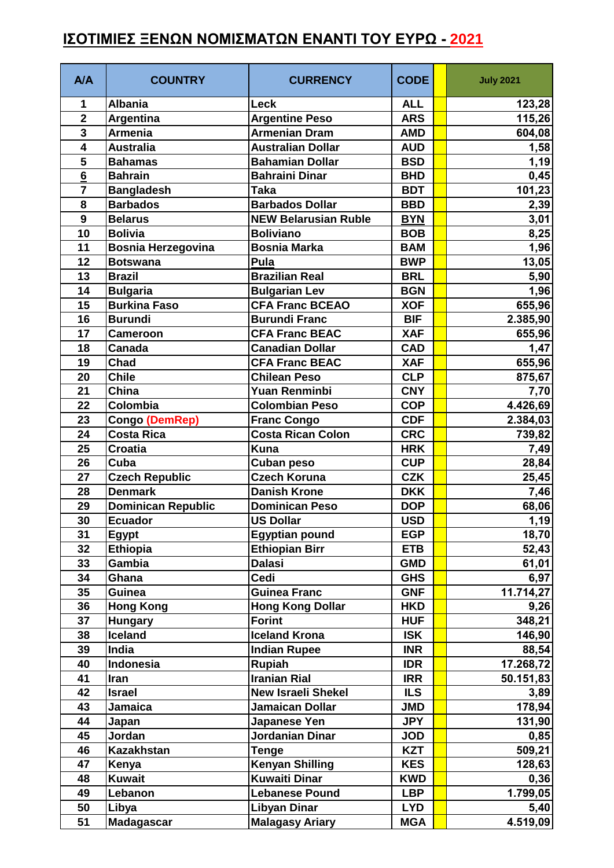## **ΙΣΟΤΙΜΙΕΣ ΞΕΝΩΝ ΝΟΜΙΣΜΑΤΩΝ ΕΝΑΝΤΙ ΤΟΥ ΕΥΡΩ - 2021**

| <b>A/A</b>              | <b>COUNTRY</b>            | <b>CURRENCY</b>             | <b>CODE</b> | <b>July 2021</b> |
|-------------------------|---------------------------|-----------------------------|-------------|------------------|
| 1                       | <b>Albania</b>            | Leck                        | <b>ALL</b>  | 123,28           |
| $\mathbf{2}$            | Argentina                 | <b>Argentine Peso</b>       | <b>ARS</b>  | 115,26           |
| 3                       | <b>Armenia</b>            | <b>Armenian Dram</b>        | <b>AMD</b>  | 604,08           |
| 4                       | <b>Australia</b>          | <b>Australian Dollar</b>    | <b>AUD</b>  | 1,58             |
| $\overline{\mathbf{5}}$ | <b>Bahamas</b>            | <b>Bahamian Dollar</b>      | <b>BSD</b>  | 1,19             |
| $6\phantom{1}$          | <b>Bahrain</b>            | <b>Bahraini Dinar</b>       | <b>BHD</b>  | 0,45             |
| $\overline{7}$          | <b>Bangladesh</b>         | <b>Taka</b>                 | <b>BDT</b>  | 101,23           |
| 8                       | <b>Barbados</b>           | <b>Barbados Dollar</b>      | <b>BBD</b>  | 2,39             |
| 9                       | <b>Belarus</b>            | <b>NEW Belarusian Ruble</b> | <b>BYN</b>  | 3,01             |
| 10                      | <b>Bolivia</b>            | <b>Boliviano</b>            | <b>BOB</b>  | 8,25             |
| 11                      | <b>Bosnia Herzegovina</b> | <b>Bosnia Marka</b>         | <b>BAM</b>  | 1,96             |
| 12                      | <b>Botswana</b>           | Pula                        | <b>BWP</b>  | 13,05            |
| 13                      | <b>Brazil</b>             | <b>Brazilian Real</b>       | <b>BRL</b>  | 5,90             |
| 14                      | <b>Bulgaria</b>           | <b>Bulgarian Lev</b>        | <b>BGN</b>  | 1,96             |
| 15                      | <b>Burkina Faso</b>       | <b>CFA Franc BCEAO</b>      | <b>XOF</b>  | 655,96           |
| 16                      | <b>Burundi</b>            | <b>Burundi Franc</b>        | <b>BIF</b>  | 2.385,90         |
| 17                      | <b>Cameroon</b>           | <b>CFA Franc BEAC</b>       | <b>XAF</b>  | 655,96           |
| 18                      | Canada                    | Canadian Dollar             | <b>CAD</b>  | 1,47             |
| 19                      | Chad                      | <b>CFA Franc BEAC</b>       | <b>XAF</b>  | 655,96           |
| 20                      | <b>Chile</b>              | <b>Chilean Peso</b>         | <b>CLP</b>  | 875,67           |
| 21                      | China                     | Yuan Renminbi               | <b>CNY</b>  | 7,70             |
| 22                      | Colombia                  | <b>Colombian Peso</b>       | <b>COP</b>  | 4.426,69         |
| 23                      | Congo (DemRep)            | <b>Franc Congo</b>          | <b>CDF</b>  | 2.384,03         |
| 24                      | <b>Costa Rica</b>         | <b>Costa Rican Colon</b>    | <b>CRC</b>  | 739,82           |
| 25                      | <b>Croatia</b>            | Kuna                        | <b>HRK</b>  | 7,49             |
| 26                      | Cuba                      | Cuban peso                  | <b>CUP</b>  | 28,84            |
| 27                      | <b>Czech Republic</b>     | <b>Czech Koruna</b>         | <b>CZK</b>  | 25,45            |
| 28                      | <b>Denmark</b>            | <b>Danish Krone</b>         | <b>DKK</b>  | 7,46             |
| 29                      | <b>Dominican Republic</b> | <b>Dominican Peso</b>       | <b>DOP</b>  | 68,06            |
| 30                      | <b>Ecuador</b>            | <b>US Dollar</b>            | <b>USD</b>  | 1,19             |
| 31                      | <b>Egypt</b>              | <b>Egyptian pound</b>       | <b>EGP</b>  | 18,70            |
| 32                      | <b>Ethiopia</b>           | <b>Ethiopian Birr</b>       | <b>ETB</b>  | 52,43            |
| 33                      | Gambia                    | <b>Dalasi</b>               | <b>GMD</b>  | 61,01            |
| 34                      | Ghana                     | Cedi                        | <b>GHS</b>  | 6,97             |
| 35                      | Guinea                    | Guinea Franc                | <b>GNF</b>  | 11.714,27        |
| 36                      | <b>Hong Kong</b>          | <b>Hong Kong Dollar</b>     | <b>HKD</b>  | 9,26             |
| 37                      | <b>Hungary</b>            | <b>Forint</b>               | <b>HUF</b>  | 348,21           |
| 38                      | Iceland                   | <b>Iceland Krona</b>        | <b>ISK</b>  | 146,90           |
| 39                      | India                     | <b>Indian Rupee</b>         | <b>INR</b>  | 88,54            |
| 40                      | Indonesia                 | <b>Rupiah</b>               | <b>IDR</b>  | 17.268,72        |
| 41                      | Iran                      | <b>Iranian Rial</b>         | <b>IRR</b>  | 50.151,83        |
| 42                      | <b>Israel</b>             | <b>New Israeli Shekel</b>   | <b>ILS</b>  | 3,89             |
| 43                      | Jamaica                   | Jamaican Dollar             | <b>JMD</b>  | 178,94           |
| 44                      | Japan                     | Japanese Yen                | <b>JPY</b>  | 131,90           |
| 45                      | Jordan                    | Jordanian Dinar             | <b>JOD</b>  | 0,85             |
| 46                      | <b>Kazakhstan</b>         | <b>Tenge</b>                | <b>KZT</b>  | 509,21           |
| 47                      | Kenya                     | <b>Kenyan Shilling</b>      | <b>KES</b>  | 128,63           |
| 48                      | <b>Kuwait</b>             | <b>Kuwaiti Dinar</b>        | <b>KWD</b>  | 0,36             |
| 49                      | Lebanon                   | <b>Lebanese Pound</b>       | <b>LBP</b>  | 1.799,05         |
| 50                      | Libya                     | <b>Libyan Dinar</b>         | <b>LYD</b>  | 5,40             |
| 51                      | <b>Madagascar</b>         | <b>Malagasy Ariary</b>      | <b>MGA</b>  | 4.519,09         |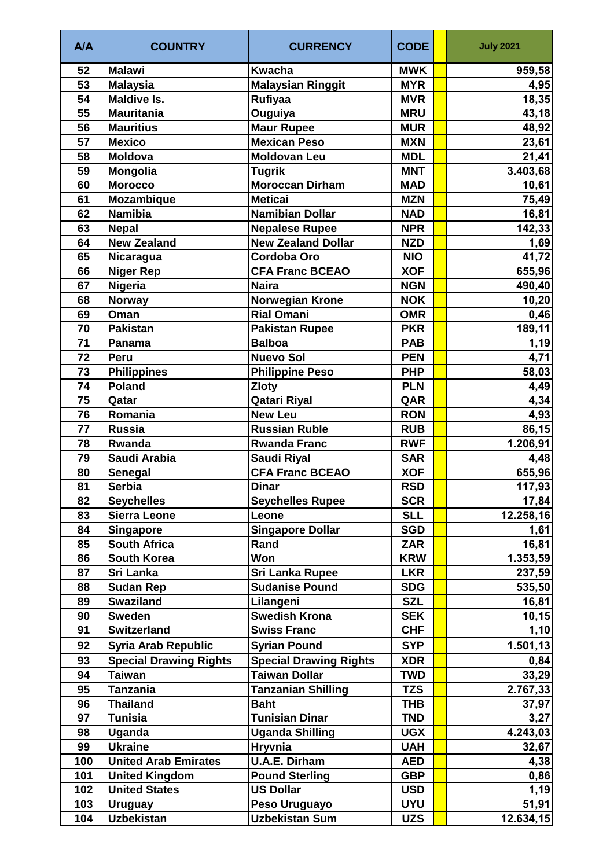| A/A | <b>COUNTRY</b>                | <b>CURRENCY</b>               | <b>CODE</b> | <b>July 2021</b> |
|-----|-------------------------------|-------------------------------|-------------|------------------|
| 52  | <b>Malawi</b>                 | <b>Kwacha</b>                 | <b>MWK</b>  | 959,58           |
| 53  | <b>Malaysia</b>               | <b>Malaysian Ringgit</b>      | <b>MYR</b>  | 4,95             |
| 54  | <b>Maldive Is.</b>            | <b>Rufiyaa</b>                | <b>MVR</b>  | 18,35            |
| 55  | <b>Mauritania</b>             | Ouguiya                       | <b>MRU</b>  | 43,18            |
| 56  | <b>Mauritius</b>              | <b>Maur Rupee</b>             | <b>MUR</b>  | 48,92            |
| 57  | <b>Mexico</b>                 | <b>Mexican Peso</b>           | <b>MXN</b>  | 23,61            |
| 58  | Moldova                       | Moldovan Leu                  | <b>MDL</b>  | 21,41            |
| 59  | Mongolia                      | <b>Tugrik</b>                 | <b>MNT</b>  | 3.403,68         |
| 60  | <b>Morocco</b>                | <b>Moroccan Dirham</b>        | <b>MAD</b>  | 10,61            |
| 61  | Mozambique                    | <b>Meticai</b>                | <b>MZN</b>  | 75,49            |
| 62  | <b>Namibia</b>                | <b>Namibian Dollar</b>        | <b>NAD</b>  | 16, 81           |
| 63  | <b>Nepal</b>                  | <b>Nepalese Rupee</b>         | <b>NPR</b>  | 142,33           |
| 64  | <b>New Zealand</b>            | <b>New Zealand Dollar</b>     | <b>NZD</b>  | 1,69             |
| 65  | Nicaragua                     | <b>Cordoba Oro</b>            | <b>NIO</b>  | 41,72            |
| 66  | <b>Niger Rep</b>              | <b>CFA Franc BCEAO</b>        | <b>XOF</b>  | 655,96           |
| 67  | Nigeria                       | <b>Naira</b>                  | <b>NGN</b>  | 490,40           |
| 68  | <b>Norway</b>                 | <b>Norwegian Krone</b>        | <b>NOK</b>  | 10,20            |
| 69  | Oman                          | <b>Rial Omani</b>             | <b>OMR</b>  | 0,46             |
| 70  | <b>Pakistan</b>               | <b>Pakistan Rupee</b>         | <b>PKR</b>  | 189,11           |
| 71  | Panama                        | <b>Balboa</b>                 | <b>PAB</b>  | 1,19             |
| 72  | Peru                          | <b>Nuevo Sol</b>              | <b>PEN</b>  | 4,71             |
| 73  | <b>Philippines</b>            | <b>Philippine Peso</b>        | <b>PHP</b>  | 58,03            |
| 74  | <b>Poland</b>                 | <b>Zloty</b>                  | <b>PLN</b>  | 4,49             |
| 75  | Qatar                         | <b>Qatari Riyal</b>           | QAR         | 4,34             |
| 76  | Romania                       | <b>New Leu</b>                | <b>RON</b>  | 4,93             |
| 77  | <b>Russia</b>                 | <b>Russian Ruble</b>          | <b>RUB</b>  | 86,15            |
| 78  | Rwanda                        | <b>Rwanda Franc</b>           | <b>RWF</b>  | 1.206,91         |
| 79  | Saudi Arabia                  | <b>Saudi Riyal</b>            | <b>SAR</b>  | 4,48             |
| 80  | Senegal                       | <b>CFA Franc BCEAO</b>        | <b>XOF</b>  | 655,96           |
| 81  | <b>Serbia</b>                 | <b>Dinar</b>                  | <b>RSD</b>  | 117,93           |
| 82  | <b>Seychelles</b>             | <b>Seychelles Rupee</b>       | <b>SCR</b>  | 17,84            |
| 83  | <b>Sierra Leone</b>           | Leone                         | <b>SLL</b>  | 12.258,16        |
| 84  | <b>Singapore</b>              | <b>Singapore Dollar</b>       | <b>SGD</b>  | 1,61             |
| 85  | <b>South Africa</b>           | Rand                          | <b>ZAR</b>  | 16,81            |
| 86  | <b>South Korea</b>            | Won                           | <b>KRW</b>  | 1.353,59         |
| 87  | Sri Lanka                     | <b>Sri Lanka Rupee</b>        | <b>LKR</b>  | 237,59           |
| 88  | <b>Sudan Rep</b>              | <b>Sudanise Pound</b>         | <b>SDG</b>  | 535,50           |
| 89  | <b>Swaziland</b>              | Lilangeni                     | <b>SZL</b>  | 16,81            |
| 90  | <b>Sweden</b>                 | <b>Swedish Krona</b>          | <b>SEK</b>  | 10, 15           |
| 91  | <b>Switzerland</b>            | <b>Swiss Franc</b>            | <b>CHF</b>  | 1,10             |
| 92  | <b>Syria Arab Republic</b>    | <b>Syrian Pound</b>           | <b>SYP</b>  | 1.501, 13        |
| 93  | <b>Special Drawing Rights</b> | <b>Special Drawing Rights</b> | <b>XDR</b>  | 0,84             |
| 94  | <b>Taiwan</b>                 | Taiwan Dollar                 | <b>TWD</b>  | 33,29            |
| 95  | <b>Tanzania</b>               | <b>Tanzanian Shilling</b>     | <b>TZS</b>  | 2.767,33         |
| 96  | <b>Thailand</b>               | <b>Baht</b>                   | <b>THB</b>  | 37,97            |
| 97  | <b>Tunisia</b>                | <b>Tunisian Dinar</b>         | <b>TND</b>  | 3,27             |
| 98  | Uganda                        | <b>Uganda Shilling</b>        | <b>UGX</b>  | 4.243,03         |
| 99  | <b>Ukraine</b>                | Hryvnia                       | <b>UAH</b>  | 32,67            |
| 100 | <b>United Arab Emirates</b>   | <b>U.A.E. Dirham</b>          | <b>AED</b>  | 4,38             |
| 101 | <b>United Kingdom</b>         | <b>Pound Sterling</b>         | <b>GBP</b>  | 0,86             |
| 102 | <b>United States</b>          | <b>US Dollar</b>              | <b>USD</b>  | 1,19             |
| 103 | <b>Uruguay</b>                | Peso Uruguayo                 | <b>UYU</b>  | 51,91            |
| 104 | <b>Uzbekistan</b>             | <b>Uzbekistan Sum</b>         | <b>UZS</b>  | 12.634,15        |